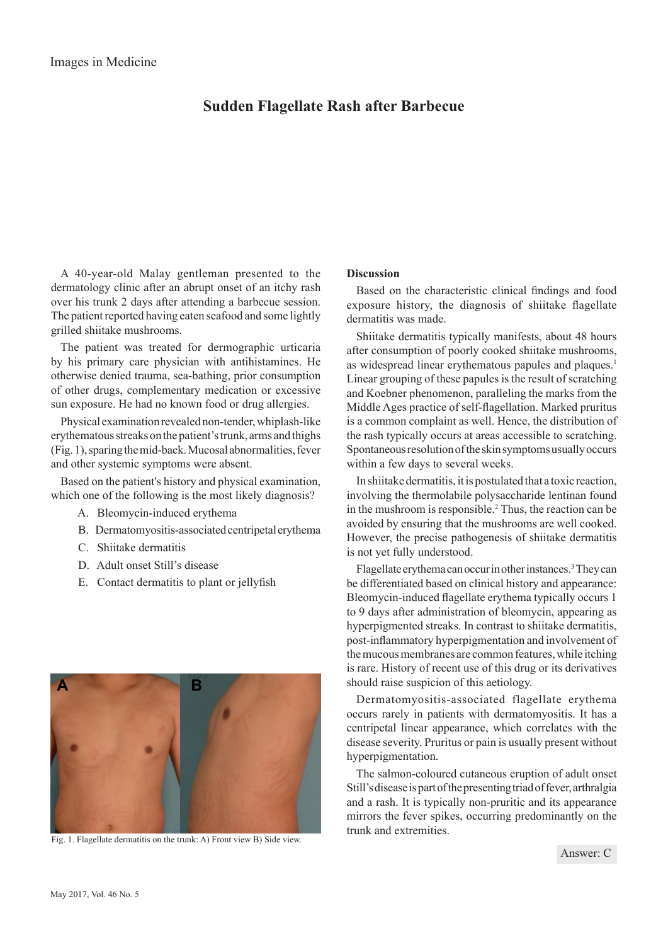## **Sudden Flagellate Rash after Barbecue**

A 40-year-old Malay gentleman presented to the dermatology clinic after an abrupt onset of an itchy rash over his trunk 2 days after attending a barbecue session. The patient reported having eaten seafood and some lightly grilled shiitake mushrooms.

The patient was treated for dermographic urticaria by his primary care physician with antihistamines. He otherwise denied trauma, sea-bathing, prior consumption of other drugs, complementary medication or excessive sun exposure. He had no known food or drug allergies.

Physical examination revealed non-tender, whiplash-like erythematous streaks on the patient's trunk, arms and thighs (Fig. 1), sparing the mid-back. Mucosal abnormalities, fever and other systemic symptoms were absent.

Based on the patient's history and physical examination, which one of the following is the most likely diagnosis?

- A. Bleomycin-induced erythema
- B. Dermatomyositis-associated centripetal erythema
- C. Shiitake dermatitis
- D. Adult onset Still's disease
- E. Contact dermatitis to plant or jellyfish



Fig. 1. Flagellate dermatitis on the trunk: A) Front view B) Side view.

## **Discussion**

Based on the characteristic clinical findings and food exposure history, the diagnosis of shiitake flagellate dermatitis was made.

Shiitake dermatitis typically manifests, about 48 hours after consumption of poorly cooked shiitake mushrooms, as widespread linear erythematous papules and plaques.<sup>1</sup> Linear grouping of these papules is the result of scratching and Koebner phenomenon, paralleling the marks from the Middle Ages practice of self-flagellation. Marked pruritus is a common complaint as well. Hence, the distribution of the rash typically occurs at areas accessible to scratching. Spontaneous resolution of the skin symptoms usually occurs within a few days to several weeks.

In shiitake dermatitis, it is postulated that a toxic reaction, involving the thermolabile polysaccharide lentinan found in the mushroom is responsible.<sup>2</sup> Thus, the reaction can be avoided by ensuring that the mushrooms are well cooked. However, the precise pathogenesis of shiitake dermatitis is not yet fully understood.

Flagellate erythema can occur in other instances.<sup>3</sup> They can be differentiated based on clinical history and appearance: Bleomycin-induced flagellate erythema typically occurs 1 to 9 days after administration of bleomycin, appearing as hyperpigmented streaks. In contrast to shiitake dermatitis, post-inflammatory hyperpigmentation and involvement of the mucous membranes are common features, while itching is rare. History of recent use of this drug or its derivatives should raise suspicion of this aetiology.

Dermatomyositis-associated flagellate erythema occurs rarely in patients with dermatomyositis. It has a centripetal linear appearance, which correlates with the disease severity. Pruritus or pain is usually present without hyperpigmentation.

The salmon-coloured cutaneous eruption of adult onset Still's disease is part of the presenting triad of fever, arthralgia and a rash. It is typically non-pruritic and its appearance mirrors the fever spikes, occurring predominantly on the trunk and extremities.